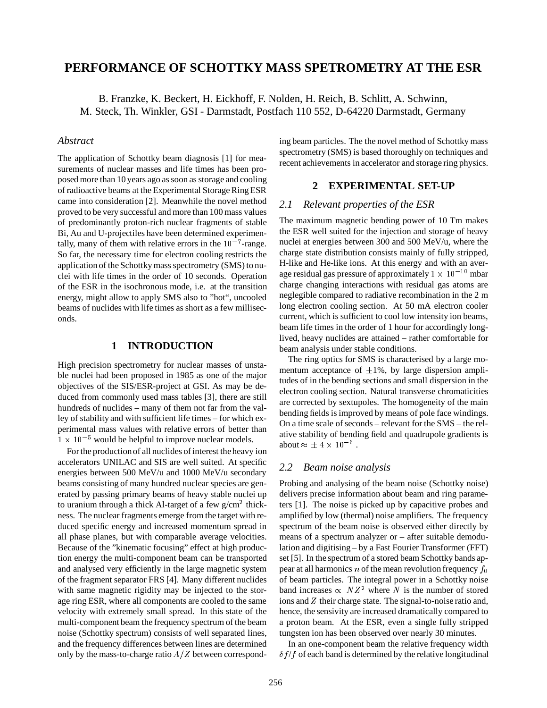# **PERFORMANCE OF SCHOTTKY MASS SPETROMETRY AT THE ESR**

B. Franzke, K. Beckert, H. Eickhoff, F. Nolden, H. Reich, B. Schlitt, A. Schwinn, M. Steck, Th. Winkler, GSI - Darmstadt, Postfach 110 552, D-64220 Darmstadt, Germany

### *Abstract*

The application of Schottky beam diagnosis [1] for measurements of nuclear masses and life times has been proposed more than 10 years ago as soon as storage and cooling of radioactive beams at the Experimental Storage Ring ESR came into consideration [2]. Meanwhile the novel method proved to be very successful and more than 100 mass values of predominantly proton-rich nuclear fragments of stable Bi, Au and U-projectiles have been determined experimentally, many of them with relative errors in the  $10^{-7}$ -range. So far, the necessary time for electron cooling restricts the application of the Schottky mass spectrometry (SMS) to nuclei with life times in the order of 10 seconds. Operation of the ESR in the isochronous mode, i.e. at the transition energy, might allow to apply SMS also to "hot", uncooled beams of nuclides with life times as short as a few milliseconds.

### **1 INTRODUCTION**

High precision spectrometry for nuclear masses of unstable nuclei had been proposed in 1985 as one of the major objectives of the SIS/ESR-project at GSI. As may be deduced from commonly used mass tables [3], there are still hundreds of nuclides – many of them not far from the valley of stability and with sufficient life times – for which experimental mass values with relative errors of better than  $1 \times 10^{-5}$  would be helpful to improve nuclear models.

For the production of all nuclides of interest the heavy ion accelerators UNILAC and SIS are well suited. At specific energies between 500 MeV/u and 1000 MeV/u secondary beams consisting of many hundred nuclear species are generated by passing primary beams of heavy stable nuclei up to uranium through a thick Al-target of a few  $g/cm^2$  thickness. The nuclear fragments emerge from the target with reduced specific energy and increased momentum spread in all phase planes, but with comparable average velocities. Because of the "kinematic focusing" effect at high production energy the multi-component beam can be transported and analysed very efficiently in the large magnetic system of the fragment separator FRS [4]. Many different nuclides with same magnetic rigidity may be injected to the storage ring ESR, where all components are cooled to the same velocity with extremely small spread. In this state of the multi-component beam the frequency spectrum of the beam noise (Schottky spectrum) consists of well separated lines, and the frequency differences between lines are determined only by the mass-to-charge ratio  $A/Z$  between corresponding beam particles. The the novel method of Schottky mass spectrometry (SMS) is based thoroughly on techniques and recent achievements in accelerator and storage ring physics.

### **2 EXPERIMENTAL SET-UP**

#### *2.1 Relevant properties of the ESR*

The maximum magnetic bending power of 10 Tm makes the ESR well suited for the injection and storage of heavy nuclei at energies between 300 and 500 MeV/u, where the charge state distribution consists mainly of fully stripped, H-like and He-like ions. At this energy and with an average residual gas pressure of approximately  $1 \times 10^{-10}$  mbar charge changing interactions with residual gas atoms are neglegible compared to radiative recombination in the 2 m long electron cooling section. At 50 mA electron cooler current, which is sufficient to cool low intensity ion beams, beam life times in the order of 1 hour for accordingly longlived, heavy nuclides are attained – rather comfortable for beam analysis under stable conditions.

The ring optics for SMS is characterised by a large momentum acceptance of  $\pm 1\%$ , by large dispersion amplitudes of in the bending sections and small dispersion in the electron cooling section. Natural transverse chromaticities are corrected by sextupoles. The homogeneity of the main bending fields is improved by means of pole face windings. On a time scale of seconds – relevant for the SMS – the relative stability of bending field and quadrupole gradients is about  $\approx \pm 4 \times 10^{-6}$ .

### *2.2 Beam noise analysis*

Probing and analysing of the beam noise (Schottky noise) delivers precise information about beam and ring parameters [1]. The noise is picked up by capacitive probes and amplified by low (thermal) noise amplifiers. The frequency spectrum of the beam noise is observed either directly by means of a spectrum analyzer or – after suitable demodulation and digitising – by a Fast Fourier Transformer (FFT) set [5]. In the spectrum of a stored beam Schottky bands appear at all harmonics n of the mean revolution frequency  $f_0$ of beam particles. The integral power in a Schottky noise band increases  $\propto N Z^2$  where N is the number of stored ions and <sup>Z</sup> their charge state. The signal-to-noise ratio and, hence, the sensivity are increased dramatically compared to a proton beam. At the ESR, even a single fully stripped tungsten ion has been observed over nearly 30 minutes.

In an one-component beam the relative frequency width  $\delta f/f$  of each band is determined by the relative longitudinal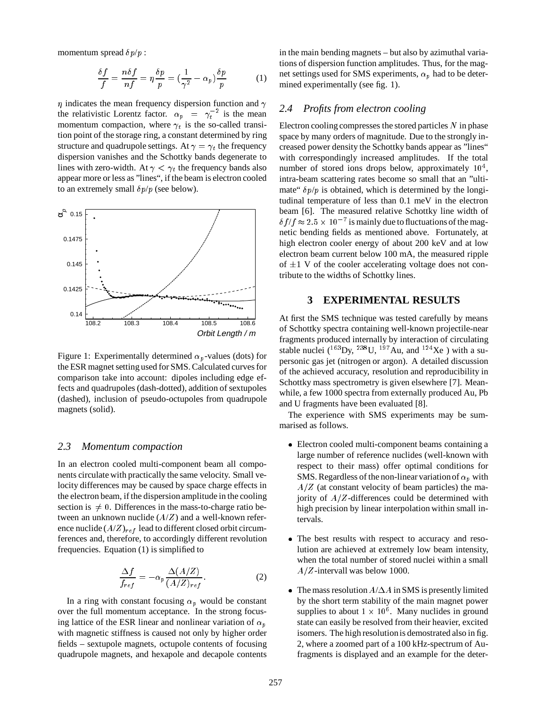momentum spread  $\delta p/p$ :

$$
\frac{\delta f}{f} = \frac{n\delta f}{nf} = \eta \frac{\delta p}{p} = \left(\frac{1}{\gamma^2} - \alpha_p\right) \frac{\delta p}{p} \tag{1}
$$

 $\eta$  indicates the mean frequency dispersion function and  $\gamma$  2.4 the relativistic Lorentz factor.  $\alpha_p = \gamma_t^{-2}$  is the mean the company of the company of the momentum compaction, where  $\gamma_t$  is the so-called transition point of the storage ring, a constant determined by ring structure and quadrupole settings. At  $\gamma = \gamma_t$  the frequency dispersion vanishes and the Schottky bands degenerate to lines with zero-width. At  $\gamma < \gamma_t$  the frequency bands also appear more or less as "lines", if the beam is electron cooled to an extremely small  $\delta p/p$  (see below).



Figure 1: Experimentally determined  $\alpha_n$ -values (dots) for the ESR magnet setting used for SMS. Calculated curves for comparison take into account: dipoles including edge effects and quadrupoles (dash-dotted), addition of sextupoles (dashed), inclusion of pseudo-octupoles from quadrupole magnets (solid).

### *2.3 Momentum compaction*

In an electron cooled multi-component beam all components circulate with practically the same velocity. Small velocity differences may be caused by space charge effects in the electron beam, if the dispersion amplitude in the cooling section is  $\neq 0$ . Differences in the mass-to-charge ratio between an unknown nuclide  $(A/Z)$  and a well-known reference nuclide  $(A/Z)_{ref}$  lead to different closed orbit circumferences and, therefore, to accordingly different revolution frequencies. Equation (1) is simplified to

$$
\frac{\Delta f}{f_{ref}} = -\alpha_p \frac{\Delta(A/Z)}{(A/Z)_{ref}}.\tag{2}
$$

In a ring with constant focusing  $\alpha_p$  would be constant over the full momentum acceptance. In the strong focusing lattice of the ESR linear and nonlinear variation of  $\alpha_p$ with magnetic stiffness is caused not only by higher order fields – sextupole magnets, octupole contents of focusing quadrupole magnets, and hexapole and decapole contents in the main bending magnets – but also by azimuthal variations of dispersion function amplitudes. Thus, for the magnet settings used for SMS experiments,  $\alpha_p$  had to be determined experimentally (see fig. 1).

### *2.4 Profits from electron cooling*

Electron cooling compresses the stored particles  $N$  in phase space by many orders of magnitude. Due to the strongly increased power density the Schottky bands appear as "lines" with correspondingly increased amplitudes. If the total number of stored ions drops below, approximately  $10^4$ , intra-beam scattering rates become so small that an "ultimate"  $\delta p/p$  is obtained, which is determined by the longitudinal temperature of less than 0.1 meV in the electron beam [6]. The measured relative Schottky line width of  $\delta f/f \approx 2.5 \times 10^{-7}$  is mainly due to fluctuations of the magnetic bending fields as mentioned above. Fortunately, at high electron cooler energy of about 200 keV and at low electron beam current below 100 mA, the measured ripple of  $\pm 1$  V of the cooler accelerating voltage does not contribute to the widths of Schottky lines.

## **3 EXPERIMENTAL RESULTS**

At first the SMS technique was tested carefully by means of Schottky spectra containing well-known projectile-near fragments produced internally by interaction of circulating stable nuclei  $(^{163}$ Dy,  $^{238}$ U,  $^{197}$ Au, and  $^{124}$ Xe) with a supersonic gas jet (nitrogen or argon). A detailed discussion of the achieved accuracy, resolution and reproducibility in Schottky mass spectrometry is given elsewhere [7]. Meanwhile, a few 1000 spectra from externally produced Au, Pb and U fragments have been evaluated [8].

The experience with SMS experiments may be summarised as follows.

- Electron cooled multi-component beams containing a large number of reference nuclides (well-known with respect to their mass) offer optimal conditions for SMS. Regardless of the non-linear variation of  $\alpha_p$  with  $A/Z$  (at constant velocity of beam particles) the majority of  $A/Z$ -differences could be determined with high precision by linear interpolation within small intervals.
- The best results with respect to accuracy and resolution are achieved at extremely low beam intensity, when the total number of stored nuclei within a small  $A/Z$ -intervall was below 1000.
- The mass resolution  $A/\Delta A$  in SMS is presently limited by the short term stability of the main magnet power supplies to about  $1 \times 10^6$ . Many nuclides in ground state can easily be resolved from their heavier, excited isomers. The high resolution is demostrated also in fig. 2, where a zoomed part of a 100 kHz-spectrum of Aufragments is displayed and an example for the deter-